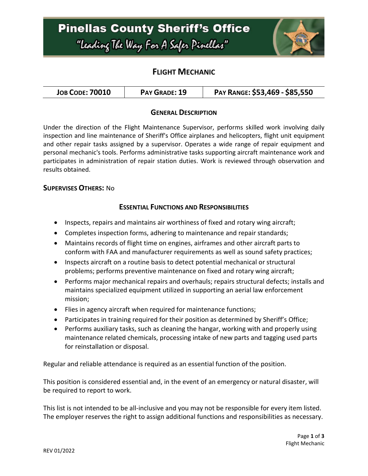# **Pinellas County Sheriff's Office** "leading The Way For A Safer Pinellar"



# **FLIGHT MECHANIC**

| <b>JOB CODE: 70010</b><br>PAY GRADE: 19 | PAY RANGE: \$53,469 - \$85,550 |
|-----------------------------------------|--------------------------------|
|-----------------------------------------|--------------------------------|

## **GENERAL DESCRIPTION**

Under the direction of the Flight Maintenance Supervisor, performs skilled work involving daily inspection and line maintenance of Sheriff's Office airplanes and helicopters, flight unit equipment and other repair tasks assigned by a supervisor. Operates a wide range of repair equipment and personal mechanic's tools. Performs administrative tasks supporting aircraft maintenance work and participates in administration of repair station duties. Work is reviewed through observation and results obtained.

### **SUPERVISES OTHERS:** No

### **ESSENTIAL FUNCTIONS AND RESPONSIBILITIES**

- Inspects, repairs and maintains air worthiness of fixed and rotary wing aircraft;
- Completes inspection forms, adhering to maintenance and repair standards;
- Maintains records of flight time on engines, airframes and other aircraft parts to conform with FAA and manufacturer requirements as well as sound safety practices;
- Inspects aircraft on a routine basis to detect potential mechanical or structural problems; performs preventive maintenance on fixed and rotary wing aircraft;
- Performs major mechanical repairs and overhauls; repairs structural defects; installs and maintains specialized equipment utilized in supporting an aerial law enforcement mission;
- Flies in agency aircraft when required for maintenance functions;
- Participates in training required for their position as determined by Sheriff's Office;
- Performs auxiliary tasks, such as cleaning the hangar, working with and properly using maintenance related chemicals, processing intake of new parts and tagging used parts for reinstallation or disposal.

Regular and reliable attendance is required as an essential function of the position.

This position is considered essential and, in the event of an emergency or natural disaster, will be required to report to work.

This list is not intended to be all-inclusive and you may not be responsible for every item listed. The employer reserves the right to assign additional functions and responsibilities as necessary.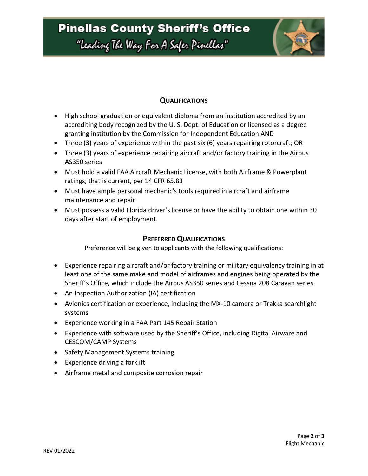**Pinellas County Sheriff's Office** "Leading The Way For A Safer Pinellar"



## **QUALIFICATIONS**

- High school graduation or equivalent diploma from an institution accredited by an accrediting body recognized by the U. S. Dept. of Education or licensed as a degree granting institution by the Commission for Independent Education AND
- Three (3) years of experience within the past six (6) years repairing rotorcraft; OR
- Three (3) years of experience repairing aircraft and/or factory training in the Airbus AS350 series
- Must hold a valid FAA Aircraft Mechanic License, with both Airframe & Powerplant ratings, that is current, per 14 CFR 65.83
- Must have ample personal mechanic's tools required in aircraft and airframe maintenance and repair
- Must possess a valid Florida driver's license or have the ability to obtain one within 30 days after start of employment.

## **PREFERRED QUALIFICATIONS**

Preference will be given to applicants with the following qualifications:

- Experience repairing aircraft and/or factory training or military equivalency training in at least one of the same make and model of airframes and engines being operated by the Sheriff's Office, which include the Airbus AS350 series and Cessna 208 Caravan series
- An Inspection Authorization (IA) certification
- Avionics certification or experience, including the MX-10 camera or Trakka searchlight systems
- Experience working in a FAA Part 145 Repair Station
- Experience with software used by the Sheriff's Office, including Digital Airware and CESCOM/CAMP Systems
- Safety Management Systems training
- Experience driving a forklift
- Airframe metal and composite corrosion repair